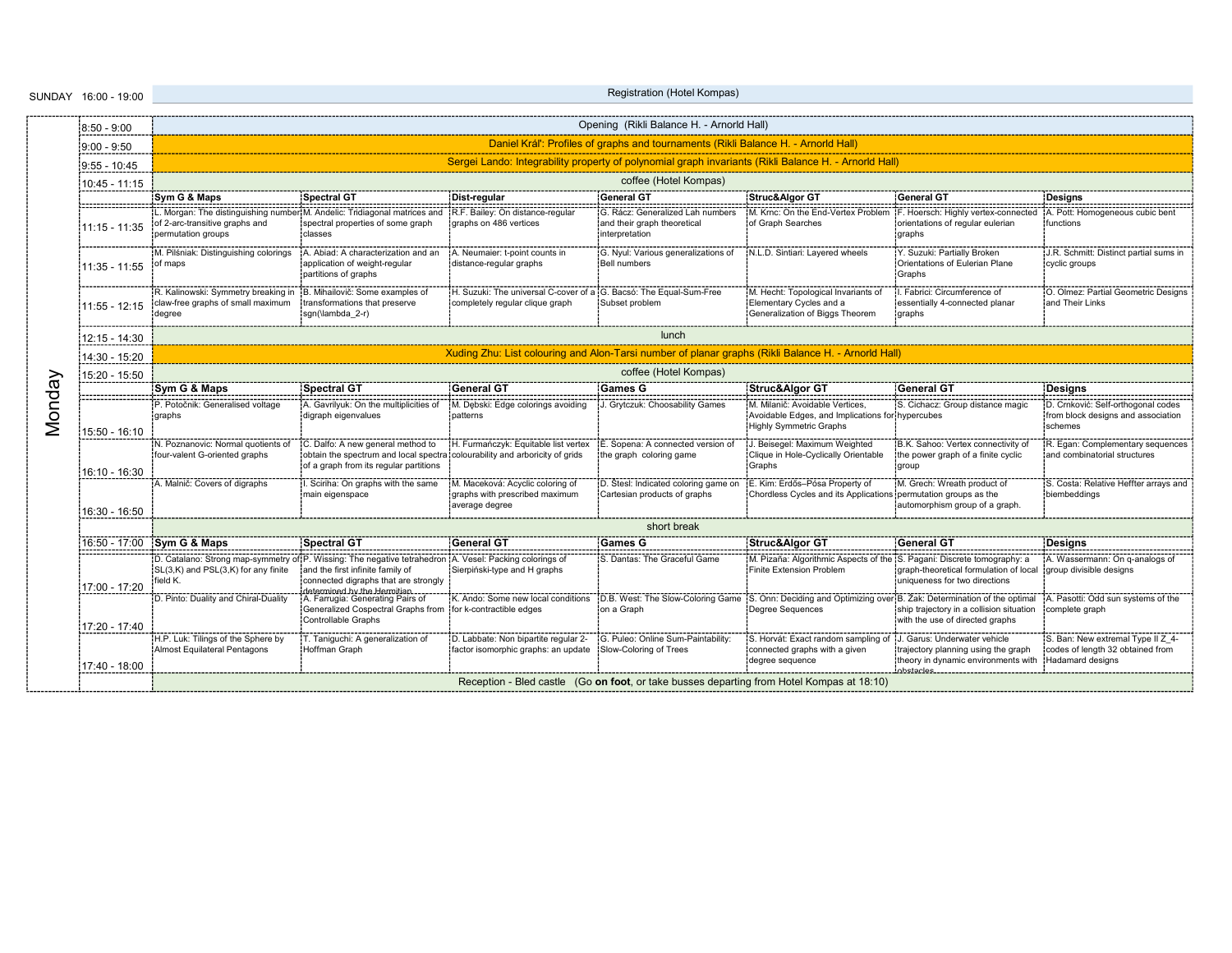SUNDAY 16:00 - 19:00

Registration (Hotel Kompas)

|                                  | $8:50 - 9:00$   |                                                                                                                                                            |                                                                                                                                                            |                                                                                                       | Opening (Rikli Balance H. - Arnorld Hall)                                                 |                                                                                                                       |                                                                                                                                                          |                                                                                           |  |  |  |
|----------------------------------|-----------------|------------------------------------------------------------------------------------------------------------------------------------------------------------|------------------------------------------------------------------------------------------------------------------------------------------------------------|-------------------------------------------------------------------------------------------------------|-------------------------------------------------------------------------------------------|-----------------------------------------------------------------------------------------------------------------------|----------------------------------------------------------------------------------------------------------------------------------------------------------|-------------------------------------------------------------------------------------------|--|--|--|
|                                  | $9:00 - 9:50$   | Daniel Král': Profiles of graphs and tournaments (Rikli Balance H. - Arnorld Hall)                                                                         |                                                                                                                                                            |                                                                                                       |                                                                                           |                                                                                                                       |                                                                                                                                                          |                                                                                           |  |  |  |
|                                  | 9:55 - 10:45    | Sergei Lando: Integrability property of polynomial graph invariants (Rikli Balance H. - Arnorld Hall)                                                      |                                                                                                                                                            |                                                                                                       |                                                                                           |                                                                                                                       |                                                                                                                                                          |                                                                                           |  |  |  |
|                                  | 10:45 - 11:15   | coffee (Hotel Kompas)                                                                                                                                      |                                                                                                                                                            |                                                                                                       |                                                                                           |                                                                                                                       |                                                                                                                                                          |                                                                                           |  |  |  |
|                                  |                 | Sym G & Maps                                                                                                                                               | <b>Spectral GT</b>                                                                                                                                         | <b>Dist-regular</b>                                                                                   | ¦General GT                                                                               | <b>Struc&amp;Algor GT</b>                                                                                             | ¦General GT                                                                                                                                              | Designs                                                                                   |  |  |  |
|                                  | $11:15 - 11:35$ | of 2-arc-transitive graphs and<br>permutation groups                                                                                                       | Morgan: The distinguishing number! M. Andelic: Tridiagonal matrices and IR.F. Bailey: On distance-regular<br>spectral properties of some graph<br>classes  | graphs on 486 vertices                                                                                | G. Rácz: Generalized Lah numbers<br>and their graph theoretical<br>interpretation         | of Graph Searches                                                                                                     | IM. Krnc: On the End-Vertex Problem IF. Hoersch: Highly vertex-connected IA. Pott: Homogeneous cubic bent<br>orientations of regular eulerian<br>¦graphs | functions                                                                                 |  |  |  |
|                                  | 11:35 - 11:55   | M. Pilśniak: Distinguishing colorings<br>of maps                                                                                                           | A. Abiad: A characterization and an<br>application of weight-regular<br>partitions of graphs                                                               | A. Neumaier: t-point counts in<br>distance-regular graphs                                             | G. Nyul: Various generalizations of<br>Bell numbers                                       | N.L.D. Sintiari: Layered wheels                                                                                       | Y. Suzuki: Partially Broken<br>Orientations of Eulerian Plane<br>Graphs                                                                                  | J.R. Schmitt: Distinct partial sums in<br>cyclic groups                                   |  |  |  |
|                                  | $11:55 - 12:15$ | R. Kalinowski: Symmetry breaking in<br>claw-free graphs of small maximum<br>degree                                                                         | B. Mihailovič: Some examples of<br>transformations that preserve<br>sgn(\lambda 2-r)                                                                       | H. Suzuki: The universal C-cover of a G. Bacsó: The Equal-Sum-Free<br>completely regular clique graph | Subset problem                                                                            | M. Hecht: Topological Invariants of<br>Elementary Cycles and a<br>Generalization of Biggs Theorem                     | I. Fabrici: Circumference of<br>essentially 4-connected planar<br>¦graphs                                                                                | O. Olmez: Partial Geometric Designs<br>and Their Links                                    |  |  |  |
|                                  | 12:15 - 14:30   |                                                                                                                                                            |                                                                                                                                                            |                                                                                                       | lunch                                                                                     |                                                                                                                       |                                                                                                                                                          |                                                                                           |  |  |  |
|                                  | 14:30 - 15:20   |                                                                                                                                                            |                                                                                                                                                            | Xuding Zhu: List colouring and Alon-Tarsi number of planar graphs (Rikli Balance H. - Arnorld Hall)   |                                                                                           |                                                                                                                       |                                                                                                                                                          |                                                                                           |  |  |  |
| $\widehat{\sigma}$<br>Vondi<br>⊠ | 15:20 - 15:50   | coffee (Hotel Kompas)                                                                                                                                      |                                                                                                                                                            |                                                                                                       |                                                                                           |                                                                                                                       |                                                                                                                                                          |                                                                                           |  |  |  |
|                                  |                 | <b>Sym G &amp; Maps</b>                                                                                                                                    | <b>Spectral GT</b>                                                                                                                                         | <b>General GT</b>                                                                                     | <b>Games G</b>                                                                            | Struc&Algor GT                                                                                                        | <b>General GT</b>                                                                                                                                        | Designs                                                                                   |  |  |  |
|                                  | i 15:50 - 16:10 | P. Potočnik: Generalised voltage<br>graphs                                                                                                                 | A. Gavrilyuk: On the multiplicities of<br>digraph eigenvalues                                                                                              | M. Debski: Edge colorings avoiding<br>patterns                                                        | J. Grytczuk: Choosability Games                                                           | M. Milanič: Avoidable Vertices.<br>Avoidable Edges, and Implications for hypercubes<br>Highly Symmetric Graphs        | S. Cichacz: Group distance magic                                                                                                                         | .<br>D. Crnković: Self-orthogonal codes<br>from block designs and association<br>schemes  |  |  |  |
|                                  | 16:10 - 16:30   | N. Poznanovic: Normal quotients of<br>four-valent G-oriented graphs                                                                                        | C. Dalfo: A new general method to<br>obtain the spectrum and local spectra colourability and arboricity of grids<br>of a graph from its regular partitions | H. Furmańczyk: Equitable list vertex                                                                  | IÉ. Sopena: A connected version of<br>the graph coloring game                             | 1J. Beisegel: Maximum Weighted<br>Clique in Hole-Cyclically Orientable<br>Graphs                                      | B.K. Sahoo: Vertex connectivity of<br>the power graph of a finite cyclic<br>group                                                                        | R. Egan: Complementary sequences<br>and combinatorial structures                          |  |  |  |
|                                  | 16:30 - 16:50   | A. Malnič: Covers of digraphs                                                                                                                              | . Sciriha: On graphs with the same<br>main eigenspace                                                                                                      | M. Maceková: Acyclic coloring of<br>graphs with prescribed maximum<br>average degree                  | D. Štesl: Indicated coloring game on<br>Cartesian products of graphs                      | E. Kim: Erdős-Pósa Property of<br>Chordless Cycles and its Applications permutation groups as the                     | M. Grech: Wreath product of<br>automorphism group of a graph                                                                                             | S. Costa: Relative Heffter arravs and<br>biembeddinas!                                    |  |  |  |
|                                  |                 | short break                                                                                                                                                |                                                                                                                                                            |                                                                                                       |                                                                                           |                                                                                                                       |                                                                                                                                                          |                                                                                           |  |  |  |
|                                  | 16:50 - 17:00   | Sym G & Maps                                                                                                                                               | <b>Spectral GT</b>                                                                                                                                         | <b>General GT</b>                                                                                     | iGames G                                                                                  | Struc&Algor GT                                                                                                        | i General GT                                                                                                                                             | Designs                                                                                   |  |  |  |
|                                  | 17:00 - 17:20   | D. Catalano: Strong map-symmetry of P. Wissing: The negative tetrahedron A. Vesel: Packing colorings of<br>SL(3,K) and PSL(3,K) for any finite<br>field K. | and the first infinite family of<br>connected digraphs that are strongly<br>determined by the Hermitian                                                    | Sierpiński-type and H graphs                                                                          | S. Dantas: The Graceful Game                                                              | M. Pizaña: Algorithmic Aspects of the IS. Pagani: Discrete tomography: a<br>Finite Extension Problem                  | graph-theoretical formulation of local<br>uniqueness for two directions                                                                                  | A. Wassermann: On q-analogs of<br>group divisible designs                                 |  |  |  |
|                                  | 17:20 - 17:40   | D. Pinto: Duality and Chiral-Duality                                                                                                                       | A. Farrugia: Generating Pairs of<br>Generalized Cospectral Graphs from for k-contractible edges<br><b>Controllable Graphs</b>                              | K. Ando: Some new local conditions                                                                    | D.B. West: The Slow-Coloring Game<br>on a Graph                                           | S. Onn: Deciding and Optimizing over B. Zak: Determination of the optimal<br>Degree Sequences                         | ship trajectory in a collision situation<br>with the use of directed graphs                                                                              | A. Pasotti: Odd sun systems of the<br>complete graph                                      |  |  |  |
|                                  | 17:40 - 18:00   | H.P. Luk: Tilings of the Sphere by<br>Almost Equilateral Pentagons                                                                                         | T. Taniguchi: A generalization of<br>Hoffman Graph                                                                                                         | D. Labbate: Non bipartite regular 2-<br>factor isomorphic graphs: an update                           | G. Puleo: Online Sum-Paintability:<br>Slow-Coloring of Trees                              | S. Horvát: Exact random sampling of 1J. Garus: Underwater vehicle<br>connected graphs with a given<br>degree sequence | trajectory planning using the graph<br>theory in dynamic environments with<br>nbstacles                                                                  | S. Ban: New extremal Type II Z 4-<br>codes of length 32 obtained from<br>Hadamard designs |  |  |  |
|                                  |                 |                                                                                                                                                            |                                                                                                                                                            |                                                                                                       | Reception - Bled castle (Go on foot, or take busses departing from Hotel Kompas at 18:10) |                                                                                                                       |                                                                                                                                                          |                                                                                           |  |  |  |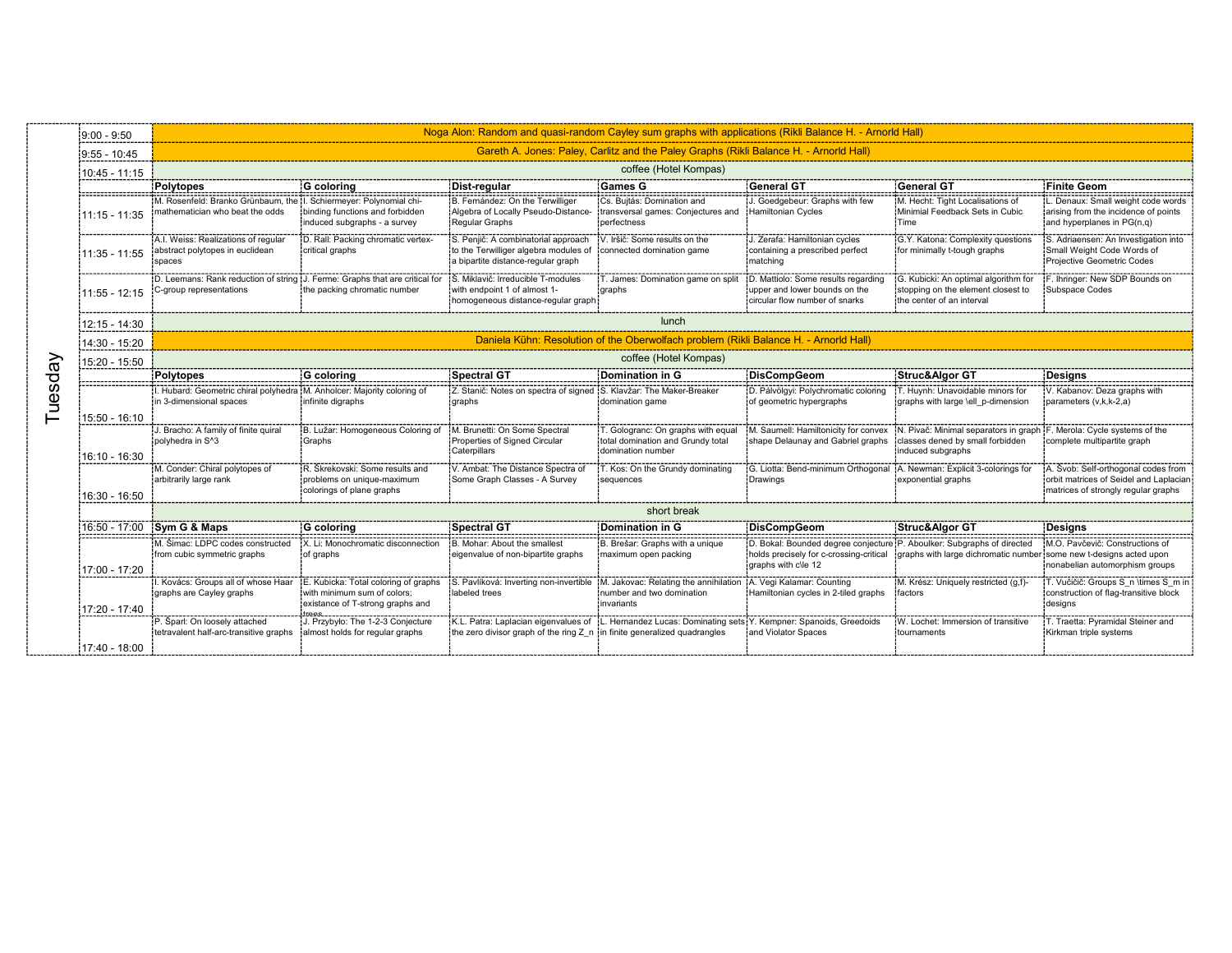|        | $9:00 - 9:50$       | Noga Alon: Random and quasi-random Cayley sum graphs with applications (Rikli Balance H. - Arnorld Hall  |                                                                                                         |                                                                                                                    |                                                                                             |                                                                                                                                          |                                                                                                                                  |                                                                                                                      |  |  |  |  |
|--------|---------------------|----------------------------------------------------------------------------------------------------------|---------------------------------------------------------------------------------------------------------|--------------------------------------------------------------------------------------------------------------------|---------------------------------------------------------------------------------------------|------------------------------------------------------------------------------------------------------------------------------------------|----------------------------------------------------------------------------------------------------------------------------------|----------------------------------------------------------------------------------------------------------------------|--|--|--|--|
|        | $9:55 - 10:45$      |                                                                                                          | Gareth A. Jones: Paley, Carlitz and the Paley Graphs (Rikli Balance H. - Arnorld Hall)                  |                                                                                                                    |                                                                                             |                                                                                                                                          |                                                                                                                                  |                                                                                                                      |  |  |  |  |
|        | $10:45 - 11:15$     | coffee (Hotel Kompas)                                                                                    |                                                                                                         |                                                                                                                    |                                                                                             |                                                                                                                                          |                                                                                                                                  |                                                                                                                      |  |  |  |  |
|        |                     | Polytopes                                                                                                | G coloring                                                                                              | Dist-regular                                                                                                       | :Games G                                                                                    | <b>General GT</b>                                                                                                                        | <b>General GT</b>                                                                                                                | Finite Geom!                                                                                                         |  |  |  |  |
|        | $11:15 - 11:35$     | M. Rosenfeld: Branko Grünbaum, the II. Schiermeyer: Polynomial chi-<br>I mathematician who beat the odds | binding functions and forbidden<br>induced subgraphs - a survey                                         | B. Fernández: On the Terwilliger<br>Algebra of Locally Pseudo-Distance-<br><b>Regular Graphs</b>                   | Cs. Bujtás: Domination and<br>transversal games: Conjectures and<br>perfectness             | J. Goedgebeur: Graphs with few<br>Hamiltonian Cycles                                                                                     | M. Hecht: Tight Localisations of<br>Minimial Feedback Sets in Cubic<br>Time                                                      | L. Denaux: Small weight code words<br>arising from the incidence of points<br>and hyperplanes in PG(n,q)             |  |  |  |  |
|        | <br>$11:35 - 11:55$ | A.I. Weiss: Realizations of regular<br>abstract polytopes in euclidean<br>spaces                         | D. Rall: Packing chromatic vertex-<br>critical graphs                                                   | S. Penjič: A combinatorial approach<br>to the Terwilliger algebra modules of<br>a bipartite distance-regular graph | V. Iršič: Some results on the<br>connected domination game                                  | . Zerafa: Hamiltonian cycles<br>containing a prescribed perfect<br>Imatching                                                             | G.Y. Katona: Complexity questions<br>for minimally t-tough graphs                                                                | S. Adriaensen: An Investigation into<br>Small Weight Code Words of<br>Projective Geometric Codes                     |  |  |  |  |
|        | $11:55 - 12:15$     | D. Leemans: Rank reduction of string U. Ferme: Graphs that are critical for<br>C-group representations   | the packing chromatic number                                                                            | Š. Miklavič: Irreducible T-modules<br>with endpoint 1 of almost 1-<br>homogeneous distance-regular graph           | T. James: Domination game on split<br>araphs!                                               | D. Mattiolo: Some results regarding<br>upper and lower bounds on the<br>circular flow number of snarks                                   | G. Kubicki: An optimal algorithm for<br>stopping on the element closest to<br>the center of an interval                          | F. Ihringer: New SDP Bounds on<br>Subspace Codes                                                                     |  |  |  |  |
|        | $12:15 - 14:30$     | lunch                                                                                                    |                                                                                                         |                                                                                                                    |                                                                                             |                                                                                                                                          |                                                                                                                                  |                                                                                                                      |  |  |  |  |
|        | 14:30 - 15:20       |                                                                                                          |                                                                                                         |                                                                                                                    | Daniela Kühn: Resolution of the Oberwolfach problem (Rikli Balance H. - Arnorld Hall)       |                                                                                                                                          |                                                                                                                                  |                                                                                                                      |  |  |  |  |
| uesday | 15:20 - 15:50       | coffee (Hotel Kompas)                                                                                    |                                                                                                         |                                                                                                                    |                                                                                             |                                                                                                                                          |                                                                                                                                  |                                                                                                                      |  |  |  |  |
|        |                     | Polytopes                                                                                                | G coloring                                                                                              | <b>Spectral GT</b>                                                                                                 | Domination in G                                                                             | DisCompGeom                                                                                                                              | Struc&Algor GT                                                                                                                   | Designs                                                                                                              |  |  |  |  |
|        | 15:50 - 16:10       | I. Hubard: Geometric chiral polyhedra M. Anholcer: Majority coloring of<br>in 3-dimensional spaces       | infinite digraphs                                                                                       | Z. Stanič: Notes on spectra of signed 'S. Klavžar: The Maker-Breaker<br>graphs                                     | domination game                                                                             | D. Pálvölgyi: Polychromatic coloring<br>of geometric hypergraphs                                                                         | T. Huynh: Unavoidable minors for<br>graphs with large \ell p-dimension                                                           | V. Kabanov: Deza graphs with<br>parameters (v,k,k-2,a)                                                               |  |  |  |  |
|        | $16:10 - 16:30$     | . Bracho: A family of finite quiral<br>polyhedra in S^3                                                  | B. Lužar: Homogeneous Coloring of<br>Graphs                                                             | M. Brunetti: On Some Spectral<br>Properties of Signed Circular<br>Caterpillars                                     | . Gologranc: On graphs with equal<br>total domination and Grundy total<br>domination number | M. Saumell: Hamiltonicity for convex<br>shape Delaunay and Gabriel graphs                                                                | IN. Pivač: Minimal separators in graph IF. Merola: Cycle systems of the<br>classes dened by small forbidden<br>induced subgraphs | complete multipartite graph                                                                                          |  |  |  |  |
|        | 16:30 - 16:50       | M. Conder: Chiral polytopes of<br>arbitrarily large rank                                                 | R. Škrekovski: Some results and<br>problems on unique-maximum<br>colorings of plane graphs              | V. Ambat: The Distance Spectra of<br>Some Graph Classes - A Survey                                                 | T. Kos: On the Grundy dominating<br>sequences                                               | (G. Liotta: Bend-minimum Orthogonal  IA. Newman: Explicit 3-colorings for<br>Drawings                                                    | exponential graphs                                                                                                               | A. Švob: Self-orthogonal codes from<br>orbit matrices of Seidel and Laplacian<br>matrices of strongly regular graphs |  |  |  |  |
|        |                     |                                                                                                          | short break                                                                                             |                                                                                                                    |                                                                                             |                                                                                                                                          |                                                                                                                                  |                                                                                                                      |  |  |  |  |
|        |                     | 16:50 - 17:00 Sym G & Maps                                                                               | G coloring                                                                                              | <b>Spectral GT</b>                                                                                                 | Domination in G                                                                             | DisCompGeom                                                                                                                              | Struc&Algor GT                                                                                                                   | Designs                                                                                                              |  |  |  |  |
|        | 17:00 - 17:20       | M. Šimac: LDPC codes constructed<br>from cubic symmetric graphs                                          | X. Li: Monochromatic disconnection<br>of graphs                                                         | B. Mohar: About the smallest<br>eigenvalue of non-bipartite graphs                                                 | B. Brešar: Graphs with a unique<br>maximum open packing                                     | D. Bokal: Bounded degree conjecture P. Aboulker: Subgraphs of directed<br>holds precisely for c-crossing-critical<br>araphs with clie 12 | graphs with large dichromatic number some new t-designs acted upon                                                               | M.O. Pavčevič: Constructions of<br>nonabelian automorphism groups                                                    |  |  |  |  |
|        | 17:20 - 17:40       | I. Kovács: Groups all of whose Haar<br>igraphs are Cayley graphs                                         | E. Kubicka: Total coloring of graphs<br>with minimum sum of colors:<br>existance of T-strong graphs and | S. Pavlíková: Inverting non-invertible M. Jakovac: Relating the annihilation<br>labeled trees                      | Inumber and two domination<br>invariants                                                    | A. Vegi Kalamar: Counting<br>Hamiltonian cycles in 2-tiled graphs                                                                        | M. Krész: Uniquely restricted (g,f)-<br>factors                                                                                  | IT. Vučičič: Groups S n \times S m in<br>construction of flag-transitive block<br>designs                            |  |  |  |  |
|        | $17:40 - 18:00$     | P. Šparl: On loosely attached<br>tetravalent half-arc-transitive graphs                                  | J. Przybyło: The 1-2-3 Conjecture<br>almost holds for regular graphs                                    | K.L. Patra: Laplacian eigenvalues of<br>the zero divisor graph of the ring Z n in finite generalized quadrangles   | L. Hernandez Lucas: Dominating sets! Y. Kempner: Spanoids, Greedoids                        | and Violator Spaces                                                                                                                      | W. Lochet: Immersion of transitive<br>tournaments                                                                                | T. Traetta: Pyramidal Steiner and<br>Kirkman triple systems                                                          |  |  |  |  |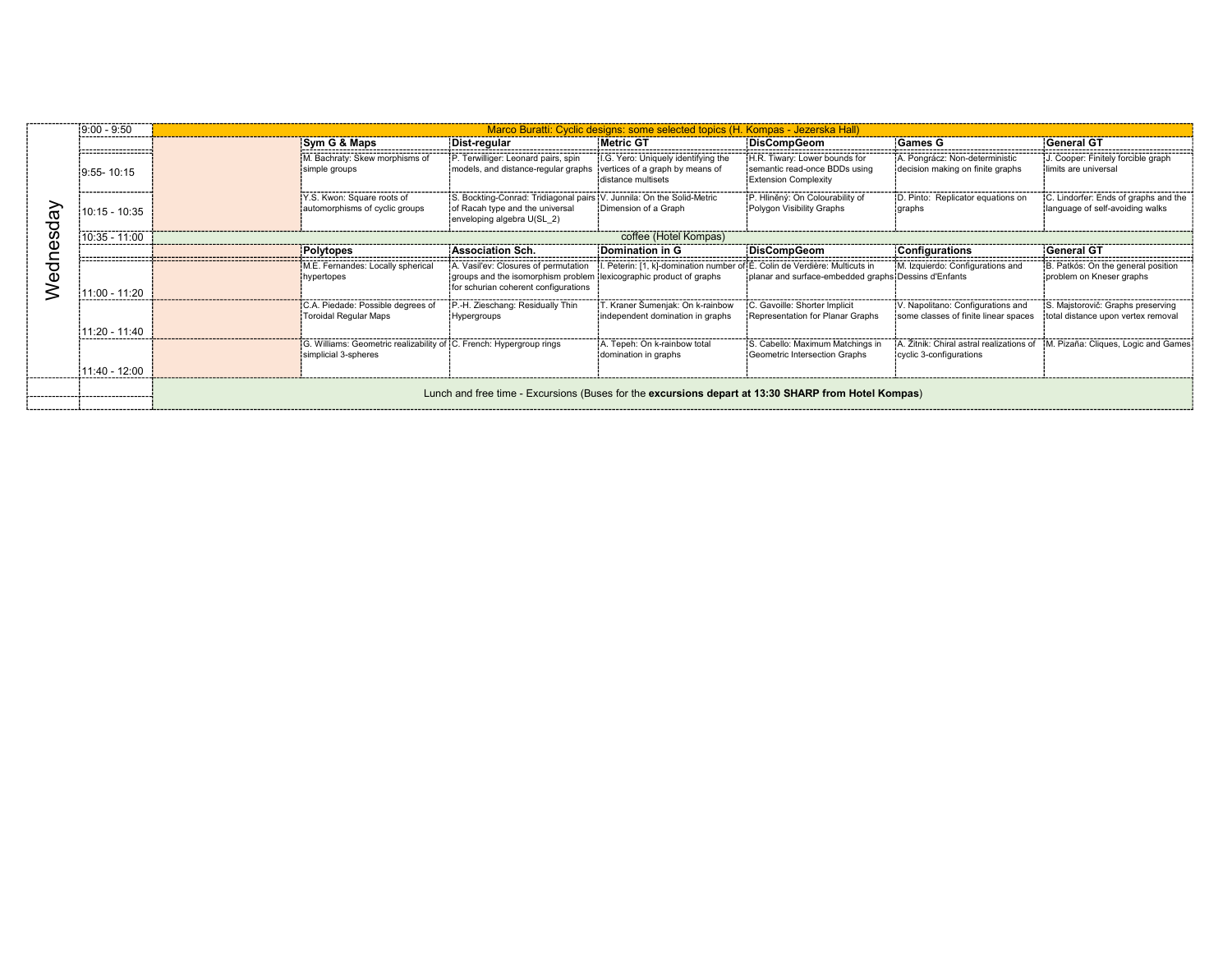|        | $19:00 - 9:50$     |                                                                                                     |                                                                                             |                                                                                                                                                    | Marco Buratti: Cyclic designs: some selected topics (H. Kompas - Jezerska Hall) |                                                                                               |                                                                                                          |                                                                        |
|--------|--------------------|-----------------------------------------------------------------------------------------------------|---------------------------------------------------------------------------------------------|----------------------------------------------------------------------------------------------------------------------------------------------------|---------------------------------------------------------------------------------|-----------------------------------------------------------------------------------------------|----------------------------------------------------------------------------------------------------------|------------------------------------------------------------------------|
|        | ------------------ |                                                                                                     | Sym G & Maps                                                                                | Dist-regular                                                                                                                                       | Metric GT                                                                       | DisCompGeom                                                                                   | <b>Games G</b>                                                                                           | <b>General GT</b>                                                      |
|        | 9:55-10:15         |                                                                                                     | M. Bachraty: Skew morphisms of<br>simple groups                                             | P. Terwilliger: Leonard pairs, spin<br>models, and distance-regular graphs vertices of a graph by means of                                         | I.G. Yero: Uniquely identifying the<br>distance multisets                       | H.R. Tiwary: Lower bounds for<br>semantic read-once BDDs using<br><b>Extension Complexity</b> | A. Pongrácz: Non-deterministic<br>decision making on finite graphs                                       | I. Cooper: Finitely forcible graph<br>limits are universal             |
| ಹ<br>ਠ | $10:15 - 10:35$    |                                                                                                     | Y.S. Kwon: Square roots of<br>automorphisms of cyclic groups                                | IS. Bockting-Conrad: Tridiagonal pairs IV. Junnila: On the Solid-Metric<br>of Racah type and the universal<br>enveloping algebra U(SL 2)           | Dimension of a Graph                                                            | IP. Hliněný: On Colourability of<br>Polygon Visibility Graphs                                 | D. Pinto: Replicator equations on<br>graphs                                                              | Lindorfer: Ends of graphs and the<br>language of self-avoiding walks   |
| ဖ      | 10:35 - 11:00      | coffee (Hotel Kompas)                                                                               |                                                                                             |                                                                                                                                                    |                                                                                 |                                                                                               |                                                                                                          |                                                                        |
|        |                    |                                                                                                     | <b>Polytopes</b>                                                                            | Association Sch.                                                                                                                                   | Domination in G                                                                 | DisCompGeom                                                                                   | <u>¦Configurations</u>                                                                                   | <b>General GT</b>                                                      |
| ਹ<br>Ō | 11:00 - 11:20      |                                                                                                     | M.E. Fernandes: Locally spherical<br>hypertopes                                             | A. Vasil'ev: Closures of permutation<br>groups and the isomorphism problem lexicographic product of graphs<br>for schurian coherent configurations | I. Peterin: [1, k]-domination number of E. Colin de Verdière: Multicuts in      | planar and surface-embedded graphs. Dessins d'Enfants                                         | M. Izquierdo: Configurations and                                                                         | B. Patkós: On the general position<br>problem on Kneser graphs         |
|        | 11:20 - 11:40      |                                                                                                     | C.A. Piedade: Possible degrees of<br>Toroidal Regular Maps                                  | P.-H. Zieschang: Residually Thin<br>Hypergroups                                                                                                    | T. Kraner Šumenjak: On k-rainbow<br>independent domination in graphs            | C. Gavoille: Shorter Implicit<br>Representation for Planar Graphs                             | V. Napolitano: Configurations and<br>some classes of finite linear spaces                                | S. Majstorovič: Graphs preserving<br>total distance upon vertex remova |
|        | $11.40 - 12.00$    |                                                                                                     | G. Williams: Geometric realizability of C. French: Hypergroup rings<br>simplicial 3-spheres |                                                                                                                                                    | A. Tepeh: On k-rainbow total<br>domination in graphs                            | S. Cabello: Maximum Matchings in<br><b>Geometric Intersection Graphs</b>                      | A. Žitnik: Chiral astral realizations of [M. Pizaña: Cliques, Logic and Games<br>cvclic 3-configurations |                                                                        |
|        |                    | Lunch and free time - Excursions (Buses for the excursions depart at 13:30 SHARP from Hotel Kompas) |                                                                                             |                                                                                                                                                    |                                                                                 |                                                                                               |                                                                                                          |                                                                        |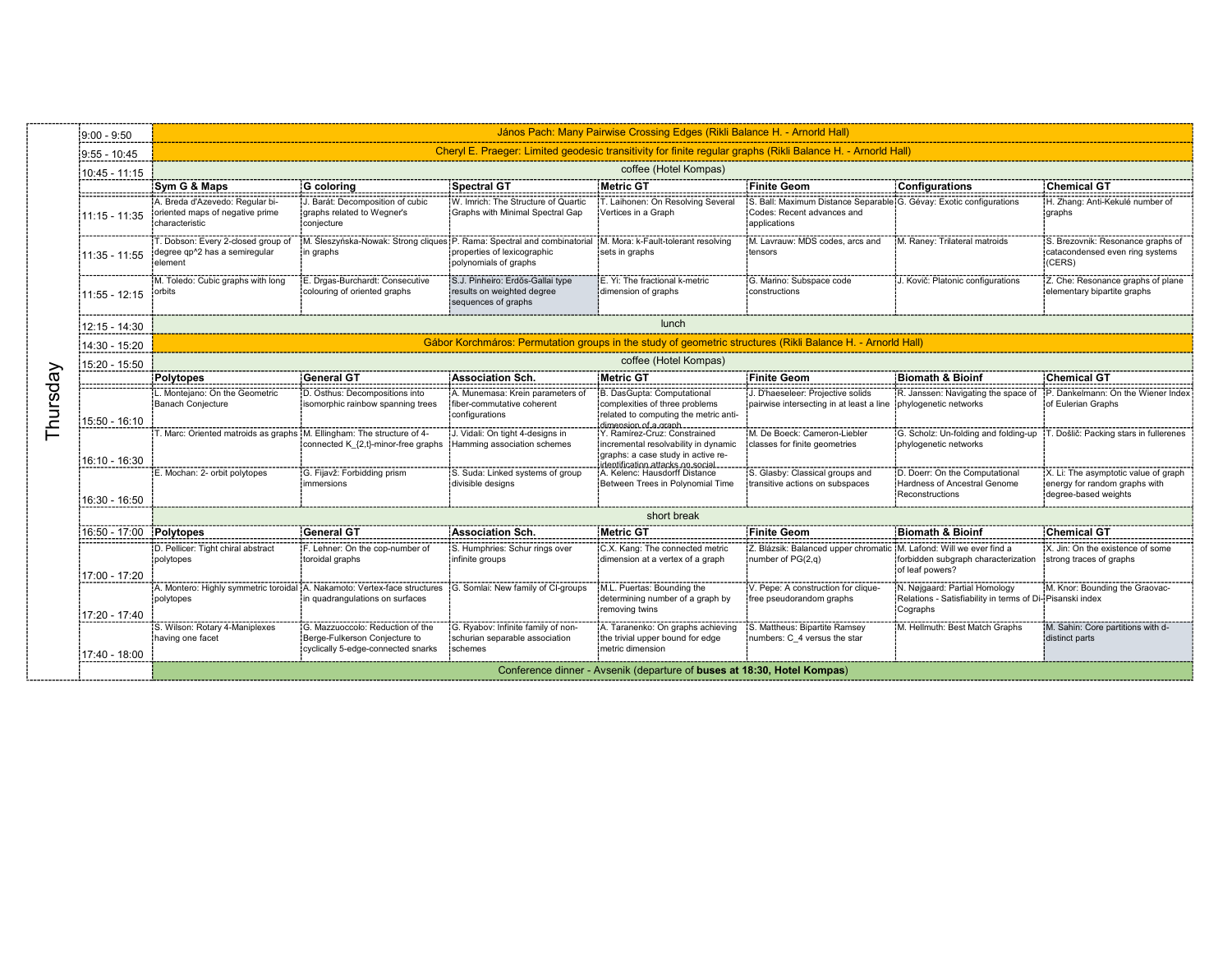|          | $9:00 - 9:50$           | János Pach: Many Pairwise Crossing Edges (Rikli Balance H. - Arnorld Hall)                                   |                                                                                                         |                                                                                                                                                                        |                                                                                                                                                |                                                                                                                    |                                                                                                       |                                                                                               |  |  |  |
|----------|-------------------------|--------------------------------------------------------------------------------------------------------------|---------------------------------------------------------------------------------------------------------|------------------------------------------------------------------------------------------------------------------------------------------------------------------------|------------------------------------------------------------------------------------------------------------------------------------------------|--------------------------------------------------------------------------------------------------------------------|-------------------------------------------------------------------------------------------------------|-----------------------------------------------------------------------------------------------|--|--|--|
|          | 9:55 - 10:45            | Cheryl E. Praeger: Limited geodesic transitivity for finite regular graphs (Rikli Balance H. - Arnorld Hall) |                                                                                                         |                                                                                                                                                                        |                                                                                                                                                |                                                                                                                    |                                                                                                       |                                                                                               |  |  |  |
|          | $10:45 - 11:15$         | coffee (Hotel Kompas)                                                                                        |                                                                                                         |                                                                                                                                                                        |                                                                                                                                                |                                                                                                                    |                                                                                                       |                                                                                               |  |  |  |
|          |                         | Sym G & Maps                                                                                                 | <b>G</b> coloring                                                                                       | <b>Spectral GT</b>                                                                                                                                                     | <b>Metric GT</b>                                                                                                                               | ⊹Finite Geom                                                                                                       | Configurations                                                                                        | Chemical G1                                                                                   |  |  |  |
|          | $11:15 - 11:35$         | IA. Breda d'Azevedo: Regular bi-<br>oriented maps of negative prime<br>characteristic                        | J. Barát: Decomposition of cubic<br>graphs related to Wegner's<br>conjecture                            | W. Imrich: The Structure of Quartic<br>Graphs with Minimal Spectral Gap                                                                                                | T. Laihonen: On Resolving Several<br>Vertices in a Graph                                                                                       | IS. Ball: Maximum Distance Separable G. Gévay: Exotic configurations<br>Codes: Recent advances and<br>applications |                                                                                                       | H. Zhang: Anti-Kekulé number of<br>graphs                                                     |  |  |  |
|          | $11:35 - 11:55$         | T. Dobson: Every 2-closed group of<br>degree qp^2 has a semiregular<br>element                               | in graphs                                                                                               | M. Śleszyńska-Nowak: Strong cliques ! P. Rama: Spectral and combinatorial [M. Mora: k-Fault-tolerant resolving<br>properties of lexicographic<br>polynomials of graphs | sets in graphs                                                                                                                                 | M. Lavrauw: MDS codes, arcs and<br>tensors                                                                         | M. Ranev: Trilateral matroids                                                                         | S. Brezovnik: Resonance graphs of<br>catacondensed even ring systems<br>(CERS)                |  |  |  |
|          | $11:55 - 12:15$         | M. Toledo: Cubic graphs with long<br>orbits                                                                  | E. Draas-Burchardt: Consecutive<br>colouring of oriented graphs                                         | S.J. Pinheiro: Erdős-Gallai type<br>results on weighted degree<br>sequences of graphs                                                                                  | E. Yi: The fractional k-metric<br>dimension of graphs                                                                                          | G. Marino: Subspace code<br>constructions                                                                          | J. Kovič: Platonic configurations                                                                     | Z. Che: Resonance graphs of plane<br>elementary bipartite graphs                              |  |  |  |
|          | 12:15 - 14:30           |                                                                                                              |                                                                                                         |                                                                                                                                                                        | lunch                                                                                                                                          |                                                                                                                    |                                                                                                       |                                                                                               |  |  |  |
|          | 14:30 - 15:20           |                                                                                                              |                                                                                                         |                                                                                                                                                                        | Gábor Korchmáros: Permutation groups in the study of geometric structures (Rikli Balance H. - Arnorld Hall                                     |                                                                                                                    |                                                                                                       |                                                                                               |  |  |  |
|          | 15:20 - 15:50           | coffee (Hotel Kompas)                                                                                        |                                                                                                         |                                                                                                                                                                        |                                                                                                                                                |                                                                                                                    |                                                                                                       |                                                                                               |  |  |  |
|          |                         | Polytopes                                                                                                    | <b>General GT</b>                                                                                       | <b>Association Sch.</b>                                                                                                                                                | Metric GT                                                                                                                                      | Finite Geom                                                                                                        | Biomath & Bioinf                                                                                      | <b>Chemical GT</b>                                                                            |  |  |  |
| Thursday | 15:50 - 16:10           | ----------------------------------<br>Monteiano: On the Geometric<br>Banach Conjecture                       | D. Osthus: Decompositions into<br>isomorphic rainbow spanning trees                                     | A. Munemasa: Krein parameters of<br>fiber-commutative coherent<br>configurations                                                                                       | B. DasGupta: Computational<br>complexities of three problems<br>related to computing the metric anti-<br>dimension of a graph                  | <br>.J. D'haeseleer: Proiective solids<br>pairwise intersecting in at least a line phylogenetic networks           |                                                                                                       | P. Dankelmann: On the Wiener Index<br>of Eulerian Graphs                                      |  |  |  |
|          | $16:10 - 16:30$         | Marc: Oriented matroids as graphs   M. Ellingham: The structure of 4-                                        | connected K {2,t}-minor-free graphs                                                                     | J. Vidali: On tight 4-designs in<br>Hamming association schemes                                                                                                        | Y. Ramírez-Cruz: Constrained<br>incremental resolvability in dynamic<br>graphs: a case study in active re-<br>identification attacks on social | M. De Boeck: Cameron-Liebler<br>classes for finite geometries                                                      | G. Scholz: Un-folding and folding-up<br>phylogenetic networks                                         | T. Došlič: Packing stars in fullerenes                                                        |  |  |  |
|          | 16:30 - 16:50           | E. Mochan: 2- orbit polytopes                                                                                | G. Fijavž: Forbidding prism<br>immersions                                                               | S. Suda: Linked systems of group<br>divisible designs                                                                                                                  | A. Kelenc: Hausdorff Distance<br>Between Trees in Polvnomial Time                                                                              | S. Glasby: Classical groups and<br>transitive actions on subspaces                                                 | D. Doerr: On the Computational<br>Hardness of Ancestral Genome<br>Reconstructions                     | X. Li: The asymptotic value of graph<br>energy for random graphs with<br>degree-based weights |  |  |  |
|          |                         | short break                                                                                                  |                                                                                                         |                                                                                                                                                                        |                                                                                                                                                |                                                                                                                    |                                                                                                       |                                                                                               |  |  |  |
|          | 16:50 - 17:00 Polytopes |                                                                                                              | <b>General GT</b>                                                                                       | <b>Association Sch.</b>                                                                                                                                                | Metric GT!                                                                                                                                     | ∶Finite Geom                                                                                                       | <b>Biomath &amp; Bioinf</b>                                                                           | Chemical GT!                                                                                  |  |  |  |
|          | 17:00 - 17:20           | ID. Pellicer: Tight chiral abstract<br>polytopes                                                             | F. Lehner: On the cop-number of<br>toroidal graphs                                                      | S. Humphries: Schur rings over<br>infinite groups                                                                                                                      | IC.X. Kang: The connected metric<br>dimension at a vertex of a graph                                                                           | Z. Blázsik: Balanced upper chromatic M. Lafond: Will we ever find a<br>number of PG(2,q)                           | forbidden subgraph characterization<br>of leaf powers?                                                | X. Jin: On the existence of some<br>strong traces of graphs                                   |  |  |  |
|          | 17:20 - 17:40           | A. Montero: Highly symmetric toroidal A. Nakamoto: Vertex-face structures<br>polytopes                       | in quadrangulations on surfaces                                                                         | G. Somlai: New family of CI-groups                                                                                                                                     | M.L. Puertas: Bounding the<br>determining number of a graph by<br>removing twins                                                               | V. Pepe: A construction for clique-<br>free pseudorandom graphs                                                    | N. Nøjgaard: Partial Homology<br>Relations - Satisfiability in terms of Di-Pisanski index<br>Cographs | M. Knor: Bounding the Graovac-                                                                |  |  |  |
|          | 17:40 - 18:00           | S. Wilson: Rotary 4-Maniplexes<br>I having one facet                                                         | G. Mazzuoccolo: Reduction of the<br>Berge-Fulkerson Conjecture to<br>cyclically 5-edge-connected snarks | G. Ryabov: Infinite family of non-<br>schurian separable association<br>schemes                                                                                        | A. Taranenko: On graphs achieving<br>the trivial upper bound for edge<br>metric dimension                                                      | S. Mattheus: Bipartite Ramsey<br>numbers: C 4 versus the star                                                      | M. Hellmuth: Best Match Graphs                                                                        | M. Sahin: Core partitions with d-<br>distinct parts                                           |  |  |  |
|          |                         | Conference dinner - Avsenik (departure of buses at 18:30, Hotel Kompas)                                      |                                                                                                         |                                                                                                                                                                        |                                                                                                                                                |                                                                                                                    |                                                                                                       |                                                                                               |  |  |  |